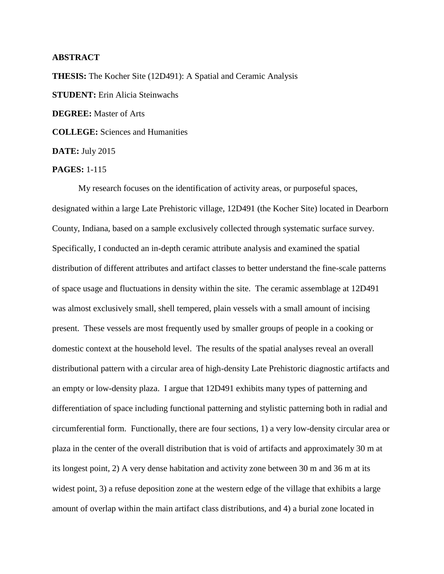## **ABSTRACT**

**THESIS:** The Kocher Site (12D491): A Spatial and Ceramic Analysis **STUDENT:** Erin Alicia Steinwachs **DEGREE:** Master of Arts **COLLEGE:** Sciences and Humanities **DATE:** July 2015

**PAGES:** 1-115

My research focuses on the identification of activity areas, or purposeful spaces, designated within a large Late Prehistoric village, 12D491 (the Kocher Site) located in Dearborn County, Indiana, based on a sample exclusively collected through systematic surface survey. Specifically, I conducted an in-depth ceramic attribute analysis and examined the spatial distribution of different attributes and artifact classes to better understand the fine-scale patterns of space usage and fluctuations in density within the site. The ceramic assemblage at 12D491 was almost exclusively small, shell tempered, plain vessels with a small amount of incising present. These vessels are most frequently used by smaller groups of people in a cooking or domestic context at the household level. The results of the spatial analyses reveal an overall distributional pattern with a circular area of high-density Late Prehistoric diagnostic artifacts and an empty or low-density plaza. I argue that 12D491 exhibits many types of patterning and differentiation of space including functional patterning and stylistic patterning both in radial and circumferential form. Functionally, there are four sections, 1) a very low-density circular area or plaza in the center of the overall distribution that is void of artifacts and approximately 30 m at its longest point, 2) A very dense habitation and activity zone between 30 m and 36 m at its widest point, 3) a refuse deposition zone at the western edge of the village that exhibits a large amount of overlap within the main artifact class distributions, and 4) a burial zone located in